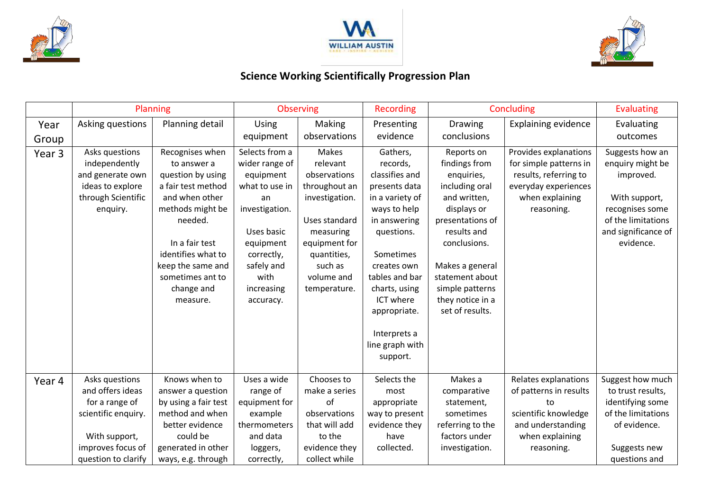





## **Science Working Scientifically Progression Plan**

|                   | Planning            |                      | <b>Observing</b> |                | Recording       | Concluding       |                            | <b>Evaluating</b>   |
|-------------------|---------------------|----------------------|------------------|----------------|-----------------|------------------|----------------------------|---------------------|
| Year              | Asking questions    | Planning detail      | Using            | Making         | Presenting      | <b>Drawing</b>   | <b>Explaining evidence</b> | Evaluating          |
| Group             |                     |                      | equipment        | observations   | evidence        | conclusions      |                            | outcomes            |
| Year <sub>3</sub> | Asks questions      | Recognises when      | Selects from a   | Makes          | Gathers,        | Reports on       | Provides explanations      | Suggests how an     |
|                   | independently       | to answer a          | wider range of   | relevant       | records,        | findings from    | for simple patterns in     | enquiry might be    |
|                   | and generate own    | question by using    | equipment        | observations   | classifies and  | enquiries,       | results, referring to      | improved.           |
|                   | ideas to explore    | a fair test method   | what to use in   | throughout an  | presents data   | including oral   | everyday experiences       |                     |
|                   | through Scientific  | and when other       | an               | investigation. | in a variety of | and written,     | when explaining            | With support,       |
|                   | enquiry.            | methods might be     | investigation.   |                | ways to help    | displays or      | reasoning.                 | recognises some     |
|                   |                     | needed.              |                  | Uses standard  | in answering    | presentations of |                            | of the limitations  |
|                   |                     |                      | Uses basic       | measuring      | questions.      | results and      |                            | and significance of |
|                   |                     | In a fair test       | equipment        | equipment for  |                 | conclusions.     |                            | evidence.           |
|                   |                     | identifies what to   | correctly,       | quantities,    | Sometimes       |                  |                            |                     |
|                   |                     | keep the same and    | safely and       | such as        | creates own     | Makes a general  |                            |                     |
|                   |                     | sometimes ant to     | with             | volume and     | tables and bar  | statement about  |                            |                     |
|                   |                     | change and           | increasing       | temperature.   | charts, using   | simple patterns  |                            |                     |
|                   |                     | measure.             | accuracy.        |                | ICT where       | they notice in a |                            |                     |
|                   |                     |                      |                  |                | appropriate.    | set of results.  |                            |                     |
|                   |                     |                      |                  |                |                 |                  |                            |                     |
|                   |                     |                      |                  |                | Interprets a    |                  |                            |                     |
|                   |                     |                      |                  |                | line graph with |                  |                            |                     |
|                   |                     |                      |                  |                | support.        |                  |                            |                     |
| Year 4            | Asks questions      | Knows when to        | Uses a wide      | Chooses to     | Selects the     | Makes a          | Relates explanations       | Suggest how much    |
|                   | and offers ideas    | answer a question    | range of         | make a series  | most            | comparative      | of patterns in results     | to trust results,   |
|                   | for a range of      | by using a fair test | equipment for    | of             | appropriate     | statement,       | to                         | identifying some    |
|                   | scientific enquiry. | method and when      | example          | observations   | way to present  | sometimes        | scientific knowledge       | of the limitations  |
|                   |                     | better evidence      | thermometers     | that will add  | evidence they   | referring to the | and understanding          | of evidence.        |
|                   | With support,       | could be             | and data         | to the         | have            | factors under    | when explaining            |                     |
|                   | improves focus of   | generated in other   | loggers,         | evidence they  | collected.      | investigation.   | reasoning.                 | Suggests new        |
|                   | question to clarify | ways, e.g. through   | correctly,       | collect while  |                 |                  |                            | questions and       |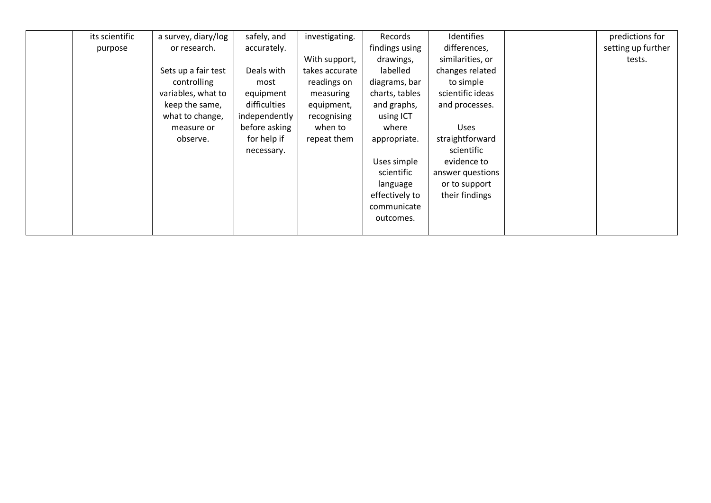| its scientific | a survey, diary/log | safely, and   | investigating. | Records        | Identifies       | predictions for    |
|----------------|---------------------|---------------|----------------|----------------|------------------|--------------------|
| purpose        | or research.        | accurately.   |                | findings using | differences,     | setting up further |
|                |                     |               | With support,  | drawings,      | similarities, or | tests.             |
|                | Sets up a fair test | Deals with    | takes accurate | labelled       | changes related  |                    |
|                | controlling         | most          | readings on    | diagrams, bar  | to simple        |                    |
|                | variables, what to  | equipment     | measuring      | charts, tables | scientific ideas |                    |
|                | keep the same,      | difficulties  | equipment,     | and graphs,    | and processes.   |                    |
|                | what to change,     | independently | recognising    | using ICT      |                  |                    |
|                | measure or          | before asking | when to        | where          | <b>Uses</b>      |                    |
|                | observe.            | for help if   | repeat them    | appropriate.   | straightforward  |                    |
|                |                     | necessary.    |                |                | scientific       |                    |
|                |                     |               |                | Uses simple    | evidence to      |                    |
|                |                     |               |                | scientific     | answer questions |                    |
|                |                     |               |                | language       | or to support    |                    |
|                |                     |               |                | effectively to | their findings   |                    |
|                |                     |               |                | communicate    |                  |                    |
|                |                     |               |                | outcomes.      |                  |                    |
|                |                     |               |                |                |                  |                    |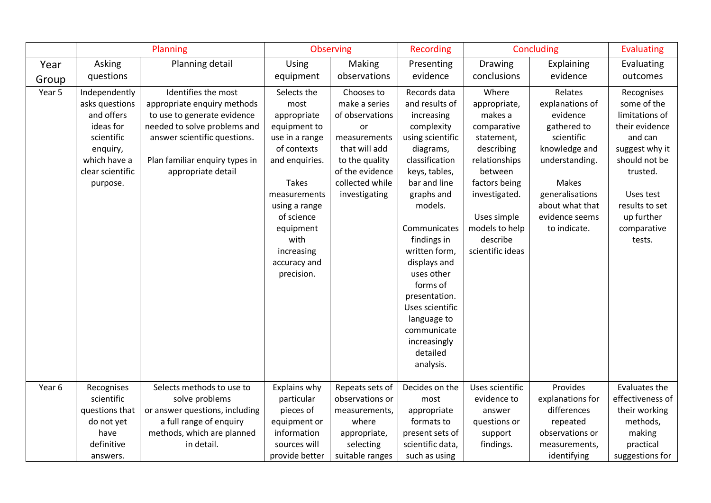|        | Planning                                                                                                                             |                                                                                                                                                                                                           | Observing                                                                                                                                                                                                                             |                                                                                                                                                                       | <b>Recording</b>                                                                                                                                                                                                                                                                                                     | Concluding                                                                                                                                                                                                 |                                                                                                                                                                                         | <b>Evaluating</b>                                                                                                                                                                             |
|--------|--------------------------------------------------------------------------------------------------------------------------------------|-----------------------------------------------------------------------------------------------------------------------------------------------------------------------------------------------------------|---------------------------------------------------------------------------------------------------------------------------------------------------------------------------------------------------------------------------------------|-----------------------------------------------------------------------------------------------------------------------------------------------------------------------|----------------------------------------------------------------------------------------------------------------------------------------------------------------------------------------------------------------------------------------------------------------------------------------------------------------------|------------------------------------------------------------------------------------------------------------------------------------------------------------------------------------------------------------|-----------------------------------------------------------------------------------------------------------------------------------------------------------------------------------------|-----------------------------------------------------------------------------------------------------------------------------------------------------------------------------------------------|
| Year   | Asking                                                                                                                               | Planning detail                                                                                                                                                                                           | <b>Using</b>                                                                                                                                                                                                                          | Making                                                                                                                                                                | Presenting                                                                                                                                                                                                                                                                                                           | <b>Drawing</b>                                                                                                                                                                                             | Explaining                                                                                                                                                                              | Evaluating                                                                                                                                                                                    |
| Group  | questions                                                                                                                            |                                                                                                                                                                                                           | equipment                                                                                                                                                                                                                             | observations                                                                                                                                                          | evidence                                                                                                                                                                                                                                                                                                             | conclusions                                                                                                                                                                                                | evidence                                                                                                                                                                                | outcomes                                                                                                                                                                                      |
| Year 5 | Independently<br>asks questions<br>and offers<br>ideas for<br>scientific<br>enquiry,<br>which have a<br>clear scientific<br>purpose. | Identifies the most<br>appropriate enquiry methods<br>to use to generate evidence<br>needed to solve problems and<br>answer scientific questions.<br>Plan familiar enquiry types in<br>appropriate detail | Selects the<br>most<br>appropriate<br>equipment to<br>use in a range<br>of contexts<br>and enquiries.<br><b>Takes</b><br>measurements<br>using a range<br>of science<br>equipment<br>with<br>increasing<br>accuracy and<br>precision. | Chooses to<br>make a series<br>of observations<br><b>or</b><br>measurements<br>that will add<br>to the quality<br>of the evidence<br>collected while<br>investigating | Records data<br>and results of<br>increasing<br>complexity<br>using scientific<br>diagrams,<br>classification<br>keys, tables,<br>bar and line<br>graphs and<br>models.<br>Communicates<br>findings in<br>written form,<br>displays and<br>uses other<br>forms of<br>presentation.<br>Uses scientific<br>language to | Where<br>appropriate,<br>makes a<br>comparative<br>statement,<br>describing<br>relationships<br>between<br>factors being<br>investigated.<br>Uses simple<br>models to help<br>describe<br>scientific ideas | Relates<br>explanations of<br>evidence<br>gathered to<br>scientific<br>knowledge and<br>understanding.<br>Makes<br>generalisations<br>about what that<br>evidence seems<br>to indicate. | Recognises<br>some of the<br>limitations of<br>their evidence<br>and can<br>suggest why it<br>should not be<br>trusted.<br>Uses test<br>results to set<br>up further<br>comparative<br>tests. |
| Year 6 | Recognises                                                                                                                           | Selects methods to use to                                                                                                                                                                                 | Explains why                                                                                                                                                                                                                          | Repeats sets of                                                                                                                                                       | communicate<br>increasingly<br>detailed<br>analysis.<br>Decides on the                                                                                                                                                                                                                                               | Uses scientific                                                                                                                                                                                            | Provides                                                                                                                                                                                | Evaluates the                                                                                                                                                                                 |
|        | scientific<br>questions that<br>do not yet<br>have<br>definitive<br>answers.                                                         | solve problems<br>or answer questions, including<br>a full range of enquiry<br>methods, which are planned<br>in detail.                                                                                   | particular<br>pieces of<br>equipment or<br>information<br>sources will<br>provide better                                                                                                                                              | observations or<br>measurements,<br>where<br>appropriate,<br>selecting<br>suitable ranges                                                                             | most<br>appropriate<br>formats to<br>present sets of<br>scientific data,<br>such as using                                                                                                                                                                                                                            | evidence to<br>answer<br>questions or<br>support<br>findings.                                                                                                                                              | explanations for<br>differences<br>repeated<br>observations or<br>measurements,<br>identifying                                                                                          | effectiveness of<br>their working<br>methods,<br>making<br>practical<br>suggestions for                                                                                                       |